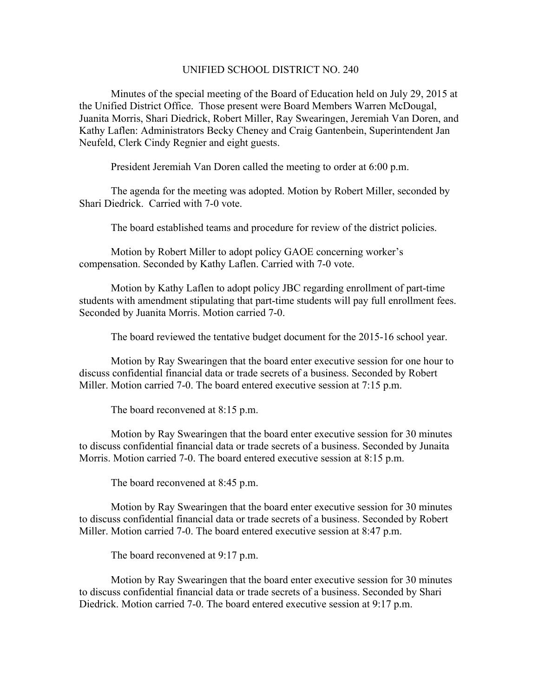## UNIFIED SCHOOL DISTRICT NO. 240

Minutes of the special meeting of the Board of Education held on July 29, 2015 at the Unified District Office. Those present were Board Members Warren McDougal, Juanita Morris, Shari Diedrick, Robert Miller, Ray Swearingen, Jeremiah Van Doren, and Kathy Laflen: Administrators Becky Cheney and Craig Gantenbein, Superintendent Jan Neufeld, Clerk Cindy Regnier and eight guests.

President Jeremiah Van Doren called the meeting to order at 6:00 p.m.

The agenda for the meeting was adopted. Motion by Robert Miller, seconded by Shari Diedrick. Carried with 7-0 vote.

The board established teams and procedure for review of the district policies.

Motion by Robert Miller to adopt policy GAOE concerning worker's compensation. Seconded by Kathy Laflen. Carried with 7-0 vote.

Motion by Kathy Laflen to adopt policy JBC regarding enrollment of part-time students with amendment stipulating that part-time students will pay full enrollment fees. Seconded by Juanita Morris. Motion carried 7-0.

The board reviewed the tentative budget document for the 2015-16 school year.

Motion by Ray Swearingen that the board enter executive session for one hour to discuss confidential financial data or trade secrets of a business. Seconded by Robert Miller. Motion carried 7-0. The board entered executive session at 7:15 p.m.

The board reconvened at 8:15 p.m.

Motion by Ray Swearingen that the board enter executive session for 30 minutes to discuss confidential financial data or trade secrets of a business. Seconded by Junaita Morris. Motion carried 7-0. The board entered executive session at 8:15 p.m.

The board reconvened at 8:45 p.m.

Motion by Ray Swearingen that the board enter executive session for 30 minutes to discuss confidential financial data or trade secrets of a business. Seconded by Robert Miller. Motion carried 7-0. The board entered executive session at 8:47 p.m.

The board reconvened at 9:17 p.m.

Motion by Ray Swearingen that the board enter executive session for 30 minutes to discuss confidential financial data or trade secrets of a business. Seconded by Shari Diedrick. Motion carried 7-0. The board entered executive session at 9:17 p.m.